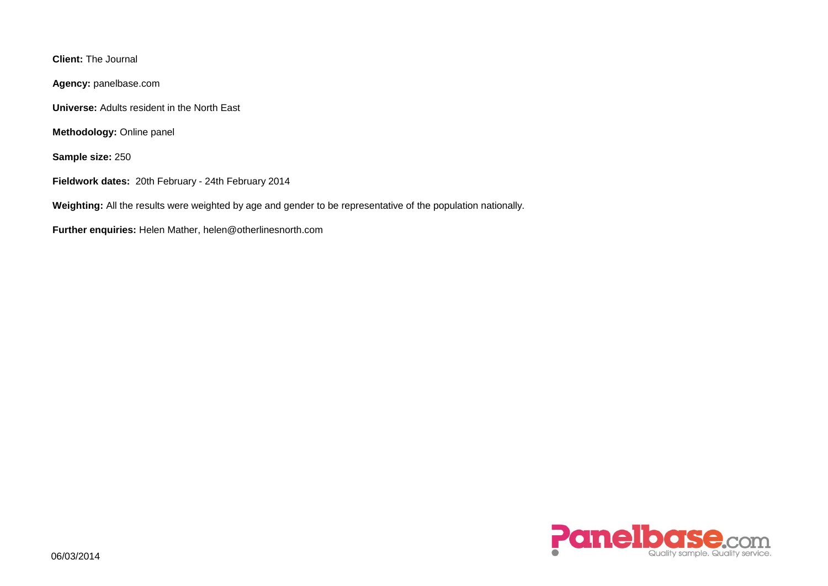**Client:** The Journal

**Agency:** panelbase.com

**Universe:** Adults resident in the North East

**Methodology:** Online panel

**Sample size:** 250

**Fieldwork dates:** 20th February - 24th February 2014

**Weighting:** All the results were weighted by age and gender to be representative of the population nationally.

**Further enquiries:** Helen Mather, helen@otherlinesnorth.com

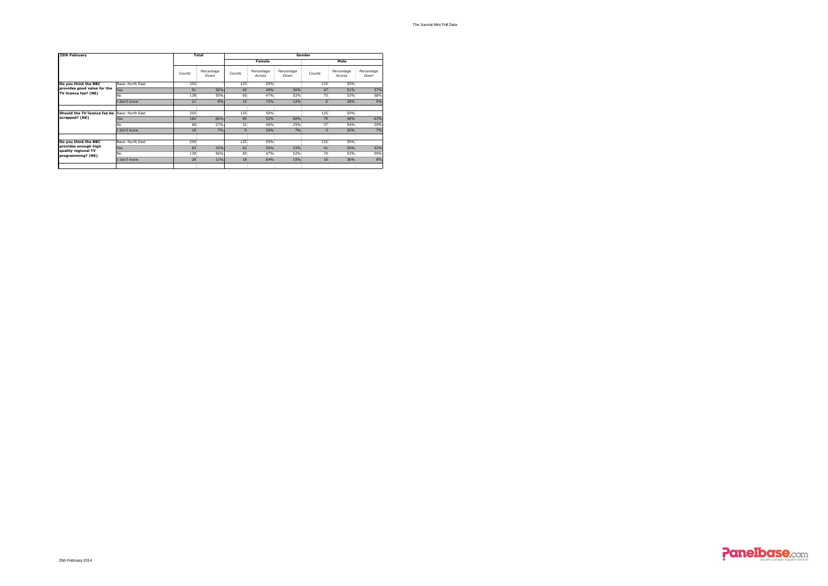The Journal Mini Poll Data





| 25th February                                                    |                  | <b>Total</b>        | Gender             |                  |                      |                    |                     |                      |                    |  |  |  |  |  |
|------------------------------------------------------------------|------------------|---------------------|--------------------|------------------|----------------------|--------------------|---------------------|----------------------|--------------------|--|--|--|--|--|
|                                                                  |                  |                     |                    |                  | <b>Female</b>        |                    | Male                |                      |                    |  |  |  |  |  |
|                                                                  |                  | Counts              | Percentage<br>Down | Counts           | Percentage<br>Across | Percentage<br>Down | Counts              | Percentage<br>Across | Percentage<br>Down |  |  |  |  |  |
| Do you think the BBC                                             | Base: North East | 250:                |                    | 125 <sup>3</sup> | 50%                  |                    | 125 <sup>2</sup>    | 50%                  |                    |  |  |  |  |  |
| provides good value for the<br>TV licence fee? (NE)              | <b>Yes</b>       | 91 <sup>°</sup>     | 36%                | 45 <sup>3</sup>  | 49%                  | 36%:               | 47:                 | 51%                  | 37%                |  |  |  |  |  |
|                                                                  | No               | 138                 | 55%                | 65:              | 47%                  | 52%                | 73:                 | 53%                  | 58%                |  |  |  |  |  |
|                                                                  | I don't know     | 21 <sup>3</sup>     | 8%                 | 15 <sup>2</sup>  | 72%                  | 12%                | 6.                  | 28%                  | 5%                 |  |  |  |  |  |
|                                                                  |                  |                     |                    |                  |                      |                    |                     |                      |                    |  |  |  |  |  |
| Should the TV licence fee be                                     | Base: North East | 250                 |                    | 125 <sub>1</sub> | 50%                  |                    | 125                 | 50%                  |                    |  |  |  |  |  |
| scrapped? (NE)                                                   | Yes              | 164:                | 66%                | 85 <sup>3</sup>  | 52%                  | 68%                | 79                  | 48%                  | 63%                |  |  |  |  |  |
|                                                                  | N٥               | 68:                 | 27%                | 31 <sup>3</sup>  | 46%                  | 25%.               | 37 <sup>2</sup>     | 54%                  | 29%                |  |  |  |  |  |
|                                                                  | I don't know     | 18 <sub>i</sub>     | 7%                 |                  | 50%:                 | $7\%$              |                     | $50\%$               | 7%                 |  |  |  |  |  |
| Do you think the BBC                                             | Base: North East | $250^{\frac{1}{2}}$ |                    | 125:             | 50%                  |                    | 125:                | 50%                  |                    |  |  |  |  |  |
| provides enough high<br>quality regional TV<br>programming? (NE) | Yes              | 83                  | 33%                | 42 <sup>5</sup>  | 50%                  | 33%                | 41 <sup>3</sup>     | 50%                  | 33%                |  |  |  |  |  |
|                                                                  |                  | 139                 | 56%                | 65 <sup>3</sup>  | 47%                  | 52%                | 74:                 | 53%                  | 59%                |  |  |  |  |  |
|                                                                  | I don't know     | $28^{\frac{1}{2}}$  | 11%                | 18 <sup>1</sup>  | $64\%$               | 15%                | <br>10 <sub>1</sub> | 36%                  | 8%                 |  |  |  |  |  |
|                                                                  |                  |                     |                    |                  |                      |                    |                     |                      |                    |  |  |  |  |  |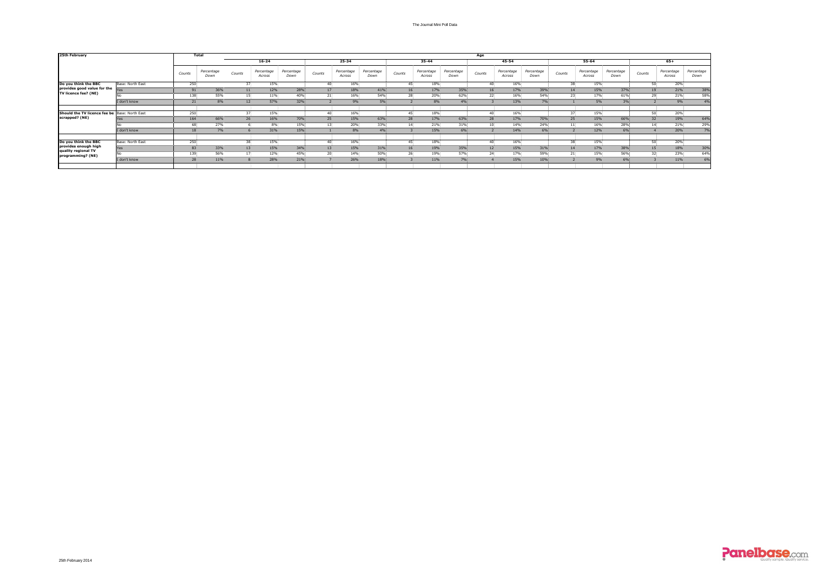

| 25th February                                                    |                  | <b>Total</b>               |                    |                 |                      |                    |                 |                      |                    |                             |                      |                    | Age          |                      |                    |        |                        |                    |                             |                      |                    |
|------------------------------------------------------------------|------------------|----------------------------|--------------------|-----------------|----------------------|--------------------|-----------------|----------------------|--------------------|-----------------------------|----------------------|--------------------|--------------|----------------------|--------------------|--------|------------------------|--------------------|-----------------------------|----------------------|--------------------|
|                                                                  |                  |                            |                    |                 | $16 - 24$            |                    |                 | 25-34                |                    |                             | 35-44                |                    |              | 45-54                |                    | 55-64  |                        |                    |                             | $65+$                |                    |
|                                                                  |                  | Counts                     | Percentage<br>Down | Counts          | Percentage<br>Across | Percentage<br>Down | Counts          | Percentage<br>Across | Percentage<br>Down | Counts                      | Percentage<br>Across | Percentage<br>Down | Counts       | Percentage<br>Across | Percentage<br>Down | Counts | Percentage<br>Across   | Percentage<br>Down | Counts                      | Percentage<br>Across | Percentage<br>Down |
| Do you think the BBC                                             | Base: North East | 250                        |                    | 37.             | 15%                  |                    | $\Lambda$       | 16%                  |                    | 45∶                         | 18%                  |                    | -40:         | 16%                  |                    |        | 15%                    |                    | 50 <sup>3</sup>             | 20%                  |                    |
| provides good value for the<br>TV licence fee? (NE)              | lYes             | <u>.</u><br>91             | 36%                | 11 <sup>3</sup> | .<br>12%             | 28%                | <u>.</u><br>17  | 18%                  | 41%                | <u>.</u><br>16 <sub>1</sub> | <u>.</u><br>17%      | 35%                | 16           | -------<br>17%       | 39%                |        | 15%                    | 37%                | <u>.</u><br>19 <sub>1</sub> | .<br>21%             | $\frac{1}{38\%}$   |
|                                                                  |                  | 138                        | 55%                | 15 <sub>1</sub> | 11%                  | 40%                | 21 <sub>2</sub> | 16%                  | 54%                | 28 <sup>3</sup>             | 20%                  | 62%                | 22:          | 16%                  | 54%                |        | 23<br>17%              | 61%                | 29                          | 21%                  | 58%                |
|                                                                  | I don't know     | <br>21                     | <br>8%             | 12 <sup>3</sup> | <br>57%              | <br>32%            |                 | .<br>9%              | <br>5%             |                             | <br>$8\%$            | .<br>4%            |              | <br>13%              | .<br>$7\%$         |        | 5%                     | <br>3%             |                             | <u></u><br>9%        | .<br>4%            |
|                                                                  |                  |                            |                    |                 |                      |                    |                 |                      |                    |                             |                      |                    |              |                      |                    |        |                        |                    |                             |                      |                    |
| Should the TV licence fee be   Base: North East                  |                  | 250<br><u>.</u>            |                    | 37.             | 15%                  |                    | 40 <sup>:</sup> | 16%                  |                    | 45.<br>.                    | 18%<br>              |                    | $40^{\circ}$ | 16%                  |                    |        | 15%<br>37 <sup>3</sup> |                    | 50<br>                      | 20%                  | <u></u>            |
| scrapped? (NE)                                                   | r es             | 164                        | 66%                | 26:             | 16%                  | 70%                | 25              | 15%                  | 63%                | 28                          | 17%                  | 63%                | 28           | 17%                  | 70%                |        | 15%<br>25.             | 66%                | 32 <sub>1</sub>             | 19%                  | 64%                |
|                                                                  |                  | 68<br><u>.</u>             | 27%<br>.           |                 | 8%<br>.              | 15%                |                 | 20%<br><u></u> .     | 33%.<br><u>.</u>   | 14 <sup>1</sup>             | 21%<br>.             | 31%.<br><u>.</u> . | 10           | 14%<br>              | 24%                |        | 16%<br>                | 28%<br>            | 14 <sup>1</sup>             | 21%<br>              | 29%<br><u>.</u>    |
|                                                                  | I don't know     | 18 <sup>5</sup>            | 7%                 |                 | 31%                  | <b>15%</b>         |                 | $8\%$                | $4\%$              |                             | 15%                  | 6%                 |              | 14%                  | $6\%$              |        | 12%                    | $6\%$              |                             | 20%                  | 7%                 |
| Do you think the BBC                                             | Base: North East | 250 <sub>5</sub>           |                    | 38 <sub>1</sub> | 15%                  |                    | 40.             | 16%                  |                    | 45.                         | 18%                  |                    | 40.          | 16%                  |                    |        | 15%<br>38              |                    | 50                          | 20%                  |                    |
| provides enough high<br>quality regional TV<br>programming? (NE) | Yes              | 83                         | 33%                | 13 <sub>1</sub> | 15%                  | 34%                | 13              | 15%                  | 31%                | 16 <sup>3</sup>             | 19%                  | 35%                | 12           | 15%                  | 31%                |        | 17%<br>14              | 38%                | 15 <sub>1</sub>             | 18%                  | 30%                |
|                                                                  |                  | 139                        | 56%                |                 | 12%                  | 45%                |                 | 14%                  | 50%                | 26:                         | 19%                  | 57%                | 24           | 17%                  | 59%                |        | 15%                    | 56%                | 32                          | 23%                  | 64%                |
|                                                                  | I don't know     | <u></u><br>28 <sup>5</sup> | 11%                |                 | <u>.</u><br>28%      | 21%                |                 | 26%                  | <br>18%            |                             | <u></u><br>11%       | <u>.</u><br>7%     |              | <u></u><br>15%       | 10%                |        | 9%                     | 6%                 |                             | 11%                  | <u>.</u><br>6%     |
|                                                                  |                  |                            |                    |                 |                      |                    |                 |                      |                    |                             |                      |                    |              |                      |                    |        |                        |                    |                             |                      |                    |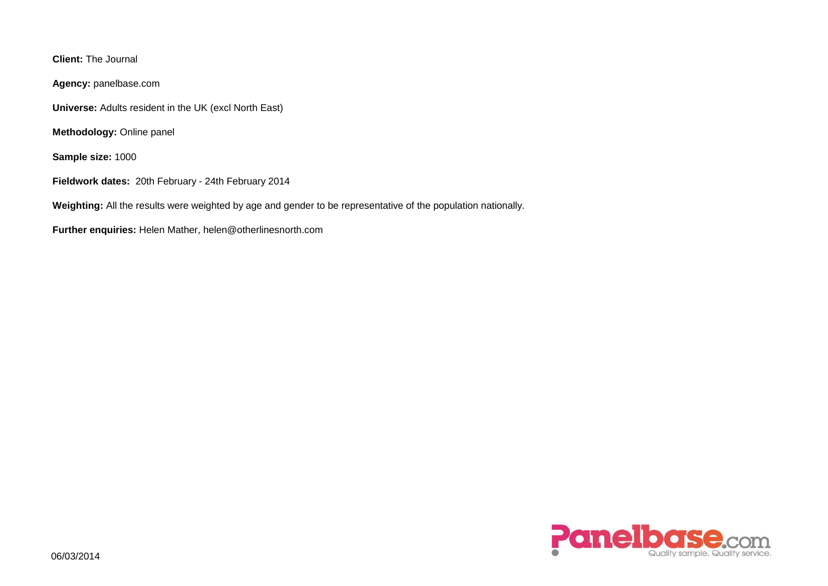**Client:** The Journal

**Agency:** panelbase.com

**Universe:** Adults resident in the UK (excl North East)

**Methodology:** Online panel

**Sample size:** 1000

**Fieldwork dates:** 20th February - 24th February 2014

**Weighting:** All the results were weighted by age and gender to be representative of the population nationally.

**Further enquiries:** Helen Mather, helen@otherlinesnorth.com

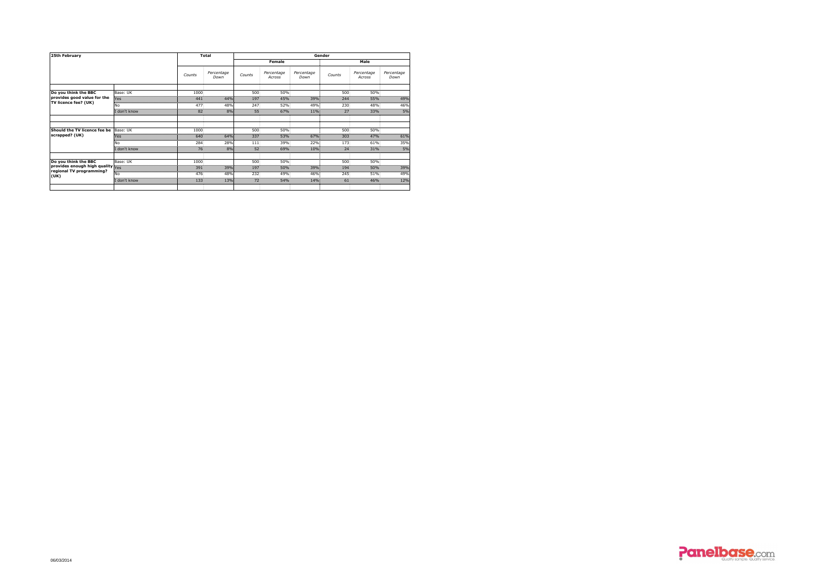





| 25th February                                                        |              | <b>Total</b>                      | Gender             |                 |                      |                    |                 |                      |                    |  |  |  |  |  |
|----------------------------------------------------------------------|--------------|-----------------------------------|--------------------|-----------------|----------------------|--------------------|-----------------|----------------------|--------------------|--|--|--|--|--|
|                                                                      |              |                                   |                    |                 | Female               |                    | <b>Male</b>     |                      |                    |  |  |  |  |  |
|                                                                      |              | Counts                            | Percentage<br>Down | Counts          | Percentage<br>Across | Percentage<br>Down | Counts          | Percentage<br>Across | Percentage<br>Down |  |  |  |  |  |
|                                                                      |              |                                   |                    |                 |                      |                    |                 |                      |                    |  |  |  |  |  |
| Do you think the BBC                                                 | Base: UK     | 1000                              |                    | 500             | 50%                  |                    | 500             | 50%                  |                    |  |  |  |  |  |
| provides good value for the<br>TV licence fee? (UK)                  | Yes          | 441                               | 44%                | 197             | 45%<br>52%           | 39%                | 244<br>230      | 55%<br>48%           | 49%                |  |  |  |  |  |
|                                                                      | No           | 477                               | 48%                | 247             |                      | 49%                |                 |                      | 46%                |  |  |  |  |  |
|                                                                      | I don't know | ---------------<br>--------<br>82 | 8%                 | 55 <sub>3</sub> | 67%                  | $11\%$             | 27 <sup>5</sup> | 33%                  | 5%                 |  |  |  |  |  |
|                                                                      |              |                                   |                    |                 |                      |                    |                 |                      |                    |  |  |  |  |  |
| Should the TV licence fee be                                         | Base: UK     | 1000                              |                    | 500             | 50%                  |                    | 500             | 50%                  |                    |  |  |  |  |  |
| scrapped? (UK)                                                       | <b>Yes</b>   | 640                               | 64%                | 337             | 53%                  | 67%                | 303             | 47%                  | 61%                |  |  |  |  |  |
|                                                                      |              | 284.                              | 28%                | 111             | 39%                  | 22%                | 173             | 61%                  | 35%                |  |  |  |  |  |
|                                                                      | I don't know | 76 <sup>3</sup>                   | 8%                 | 52 <sup>3</sup> | 69%                  | 10%                | 24 <sup>°</sup> | 31%                  | 5%                 |  |  |  |  |  |
|                                                                      |              |                                   |                    |                 |                      |                    |                 |                      |                    |  |  |  |  |  |
| Do you think the BBC                                                 | Base: UK     | 1000<br>                          |                    | 500             | 50%                  |                    | $500^{\circ}$   | 50%                  |                    |  |  |  |  |  |
| provides enough high quality Yes<br>regional TV programming?<br>(UK) |              | 391                               | 39%                | 197             | 50%                  | 39%                | 194             | 50%                  | 39%                |  |  |  |  |  |
|                                                                      | <b>No</b>    | 476                               | 48%                | 232             | 49%                  | 46%                | 245             | 51%                  | 49%                |  |  |  |  |  |
|                                                                      | I don't know | 133                               | 13%                | 72.             | 54%                  | 14%                | 61 <sup>3</sup> | 46%                  | 12%                |  |  |  |  |  |
|                                                                      |              |                                   |                    |                 |                      |                    |                 |                      |                    |  |  |  |  |  |